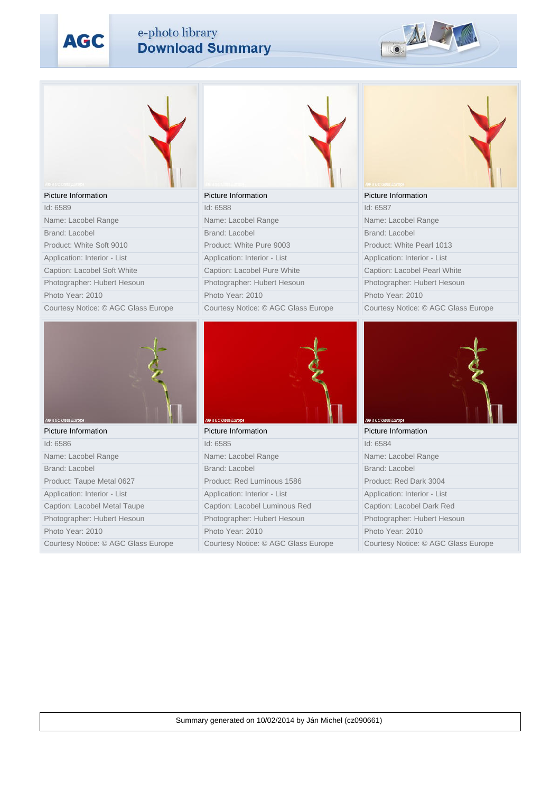**AGC** 

## e-photo library<br>Download Summary



| <b>Picture Information</b>          | Picture Information                 | Picture Information                 |
|-------------------------------------|-------------------------------------|-------------------------------------|
| Id: 6589                            | Id: 6588                            | Id: 6587                            |
| Name: Lacobel Range                 | Name: Lacobel Range                 | Name: Lacobel Range                 |
| <b>Brand: Lacobel</b>               | Brand: Lacobel                      | Brand: Lacobel                      |
| Product: White Soft 9010            | Product: White Pure 9003            | Product: White Pearl 1013           |
| Application: Interior - List        | Application: Interior - List        | Application: Interior - List        |
| Caption: Lacobel Soft White         | Caption: Lacobel Pure White         | Caption: Lacobel Pearl White        |
| Photographer: Hubert Hesoun         | Photographer: Hubert Hesoun         | Photographer: Hubert Hesoun         |
| Photo Year: 2010                    | Photo Year: 2010                    | Photo Year: 2010                    |
| Courtesy Notice: © AGC Glass Europe | Courtesy Notice: © AGC Glass Europe | Courtesy Notice: © AGC Glass Europe |
| AO AGC Glass Europe                 | <b>40 AGC Glass Europe</b>          | <b>40 AGC Glass Europe</b>          |
| <b>Picture Information</b>          | Picture Information                 | Picture Information                 |
| Id: 6586                            | Id: 6585                            | Id: 6584                            |
| Name: Lacobel Range                 | Name: Lacobel Range                 | Name: Lacobel Range                 |
| Brand: Lacobel                      | Brand: Lacobel                      | Brand: Lacobel                      |
| Product: Taupe Metal 0627           | Product: Red Luminous 1586          | Product: Red Dark 3004              |
| Application: Interior - List        | Application: Interior - List        | Application: Interior - List        |
| Caption: Lacobel Metal Taupe        | Caption: Lacobel Luminous Red       | Caption: Lacobel Dark Red           |
| Photographer: Hubert Hesoun         | Photographer: Hubert Hesoun         | Photographer: Hubert Hesoun         |
| Photo Year: 2010                    | Photo Year: 2010                    | Photo Year: 2010                    |
| Courtesy Notice: © AGC Glass Europe | Courtesy Notice: © AGC Glass Europe | Courtesy Notice: © AGC Glass Europe |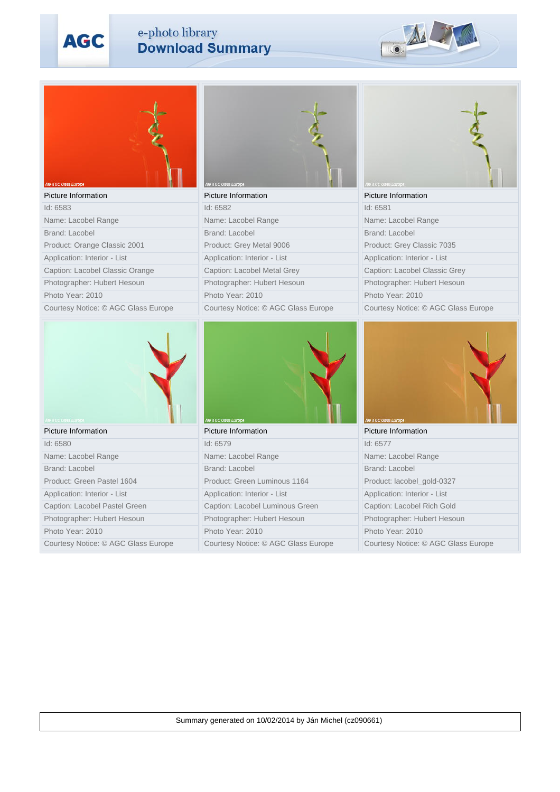**AGC** 

## e-photo library<br>Download Summary



| 40 AGC Glass Europ                  | AGC Glass Euro                      |                                     |
|-------------------------------------|-------------------------------------|-------------------------------------|
| Picture Information                 | Picture Information                 | Picture Information                 |
| Id: 6583                            | Id: 6582                            | Id: 6581                            |
| Name: Lacobel Range                 | Name: Lacobel Range                 | Name: Lacobel Range                 |
| Brand: Lacobel                      | Brand: Lacobel                      | <b>Brand: Lacobel</b>               |
| Product: Orange Classic 2001        | Product: Grey Metal 9006            | Product: Grey Classic 7035          |
| Application: Interior - List        | Application: Interior - List        | Application: Interior - List        |
| Caption: Lacobel Classic Orange     | Caption: Lacobel Metal Grey         | Caption: Lacobel Classic Grey       |
| Photographer: Hubert Hesoun         | Photographer: Hubert Hesoun         | Photographer: Hubert Hesoun         |
| Photo Year: 2010                    | Photo Year: 2010                    | Photo Year: 2010                    |
| Courtesy Notice: © AGC Glass Europe | Courtesy Notice: © AGC Glass Europe | Courtesy Notice: © AGC Glass Europe |
| AO AOC Gass Europe                  | AGC Glass Europ                     | O AGC Glass Europ                   |
| Picture Information                 | Picture Information                 | Picture Information                 |
| Id: 6580                            | Id: 6579                            | Id: 6577                            |
| Name: Lacobel Range                 | Name: Lacobel Range                 | Name: Lacobel Range                 |
| Brand: Lacobel                      | Brand: Lacobel                      | <b>Brand: Lacobel</b>               |
| Product: Green Pastel 1604          | Product: Green Luminous 1164        | Product: lacobel_gold-0327          |
| Application: Interior - List        | Application: Interior - List        | Application: Interior - List        |
|                                     |                                     |                                     |
| Caption: Lacobel Pastel Green       | Caption: Lacobel Luminous Green     | Caption: Lacobel Rich Gold          |
| Photographer: Hubert Hesoun         | Photographer: Hubert Hesoun         | Photographer: Hubert Hesoun         |
| Photo Year: 2010                    | Photo Year: 2010                    | Photo Year: 2010                    |